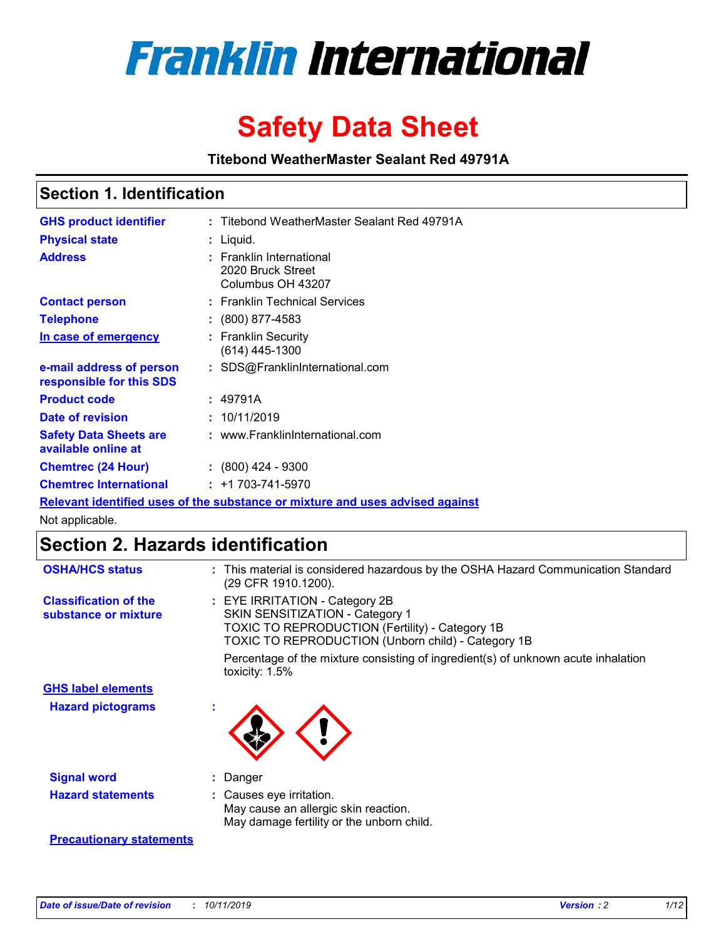

# **Safety Data Sheet**

**Titebond WeatherMaster Sealant Red 49791A**

### **Section 1. Identification**

| <b>GHS product identifier</b>                        | : Titebond WeatherMaster Sealant Red 49791A                                   |
|------------------------------------------------------|-------------------------------------------------------------------------------|
| <b>Physical state</b>                                | : Liquid.                                                                     |
| <b>Address</b>                                       | : Franklin International<br>2020 Bruck Street<br>Columbus OH 43207            |
| <b>Contact person</b>                                | : Franklin Technical Services                                                 |
| <b>Telephone</b>                                     | $\div$ (800) 877-4583                                                         |
| In case of emergency                                 | : Franklin Security<br>(614) 445-1300                                         |
| e-mail address of person<br>responsible for this SDS | : SDS@FranklinInternational.com                                               |
| <b>Product code</b>                                  | : 49791A                                                                      |
| Date of revision                                     | : 10/11/2019                                                                  |
| <b>Safety Data Sheets are</b><br>available online at | : www.FranklinInternational.com                                               |
| <b>Chemtrec (24 Hour)</b>                            | $\div$ (800) 424 - 9300                                                       |
| <b>Chemtrec International</b>                        | $: +1703 - 741 - 5970$                                                        |
|                                                      | Relevant identified uses of the substance or mixture and uses advised against |

Not applicable.

## **Section 2. Hazards identification**

| <b>OSHA/HCS status</b>                               | : This material is considered hazardous by the OSHA Hazard Communication Standard<br>(29 CFR 1910.1200).                                                                                 |
|------------------------------------------------------|------------------------------------------------------------------------------------------------------------------------------------------------------------------------------------------|
| <b>Classification of the</b><br>substance or mixture | : EYE IRRITATION - Category 2B<br>SKIN SENSITIZATION - Category 1<br><b>TOXIC TO REPRODUCTION (Fertility) - Category 1B</b><br><b>TOXIC TO REPRODUCTION (Unborn child) - Category 1B</b> |
|                                                      | Percentage of the mixture consisting of ingredient(s) of unknown acute inhalation<br>toxicity: $1.5\%$                                                                                   |
| <b>GHS label elements</b>                            |                                                                                                                                                                                          |
| <b>Hazard pictograms</b>                             |                                                                                                                                                                                          |
| <b>Signal word</b>                                   | : Danger                                                                                                                                                                                 |
| <b>Hazard statements</b>                             | : Causes eye irritation.<br>May cause an allergic skin reaction.<br>May damage fertility or the unborn child.                                                                            |
| <b>Precautionary statements</b>                      |                                                                                                                                                                                          |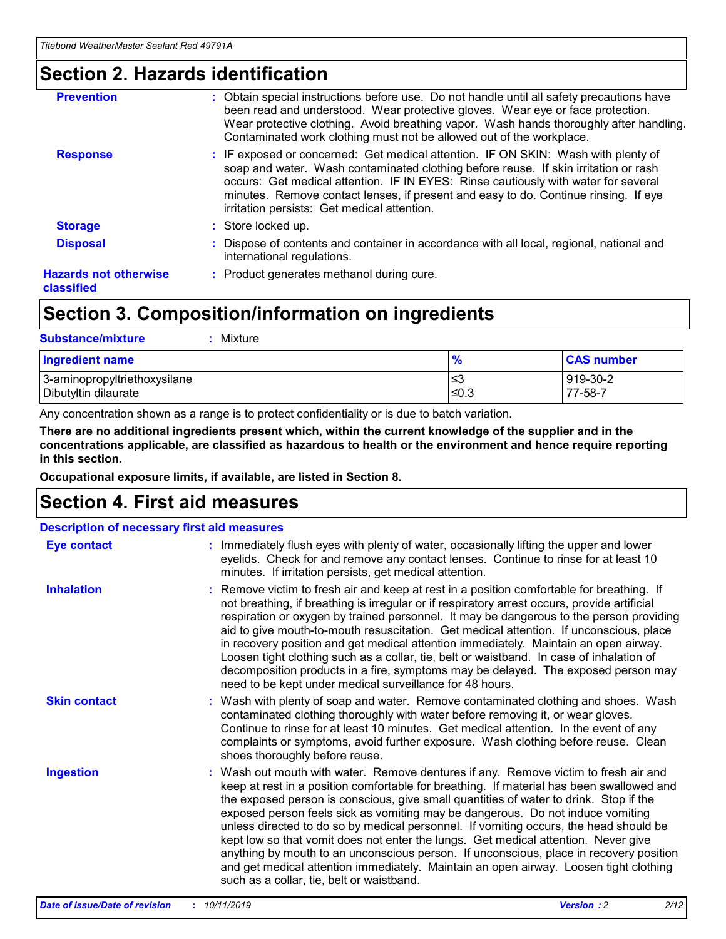### **Section 2. Hazards identification**

| <b>Prevention</b>                          | : Obtain special instructions before use. Do not handle until all safety precautions have<br>been read and understood. Wear protective gloves. Wear eye or face protection.<br>Wear protective clothing. Avoid breathing vapor. Wash hands thoroughly after handling.<br>Contaminated work clothing must not be allowed out of the workplace.                                                        |
|--------------------------------------------|------------------------------------------------------------------------------------------------------------------------------------------------------------------------------------------------------------------------------------------------------------------------------------------------------------------------------------------------------------------------------------------------------|
| <b>Response</b>                            | : IF exposed or concerned: Get medical attention. IF ON SKIN: Wash with plenty of<br>soap and water. Wash contaminated clothing before reuse. If skin irritation or rash<br>occurs: Get medical attention. IF IN EYES: Rinse cautiously with water for several<br>minutes. Remove contact lenses, if present and easy to do. Continue rinsing. If eye<br>irritation persists: Get medical attention. |
| <b>Storage</b>                             | : Store locked up.                                                                                                                                                                                                                                                                                                                                                                                   |
| <b>Disposal</b>                            | : Dispose of contents and container in accordance with all local, regional, national and<br>international regulations.                                                                                                                                                                                                                                                                               |
| <b>Hazards not otherwise</b><br>classified | : Product generates methanol during cure.                                                                                                                                                                                                                                                                                                                                                            |
|                                            |                                                                                                                                                                                                                                                                                                                                                                                                      |

### **Section 3. Composition/information on ingredients**

| <b>Substance/mixture</b><br>Mixture                  |               |                     |
|------------------------------------------------------|---------------|---------------------|
| <b>Ingredient name</b>                               | $\frac{9}{6}$ | <b>CAS number</b>   |
| 3-aminopropyltriethoxysilane<br>Dibutyltin dilaurate | ≤3<br>$≤0.3$  | 919-30-2<br>77-58-7 |

Any concentration shown as a range is to protect confidentiality or is due to batch variation.

**There are no additional ingredients present which, within the current knowledge of the supplier and in the concentrations applicable, are classified as hazardous to health or the environment and hence require reporting in this section.**

**Occupational exposure limits, if available, are listed in Section 8.**

### **Section 4. First aid measures**

| <b>Description of necessary first aid measures</b> |                                                                                                                                                                                                                                                                                                                                                                                                                                                                                                                                                                                                                                                                                                                                                                           |  |  |  |
|----------------------------------------------------|---------------------------------------------------------------------------------------------------------------------------------------------------------------------------------------------------------------------------------------------------------------------------------------------------------------------------------------------------------------------------------------------------------------------------------------------------------------------------------------------------------------------------------------------------------------------------------------------------------------------------------------------------------------------------------------------------------------------------------------------------------------------------|--|--|--|
| <b>Eye contact</b>                                 | : Immediately flush eyes with plenty of water, occasionally lifting the upper and lower<br>eyelids. Check for and remove any contact lenses. Continue to rinse for at least 10<br>minutes. If irritation persists, get medical attention.                                                                                                                                                                                                                                                                                                                                                                                                                                                                                                                                 |  |  |  |
| <b>Inhalation</b>                                  | : Remove victim to fresh air and keep at rest in a position comfortable for breathing. If<br>not breathing, if breathing is irregular or if respiratory arrest occurs, provide artificial<br>respiration or oxygen by trained personnel. It may be dangerous to the person providing<br>aid to give mouth-to-mouth resuscitation. Get medical attention. If unconscious, place<br>in recovery position and get medical attention immediately. Maintain an open airway.<br>Loosen tight clothing such as a collar, tie, belt or waistband. In case of inhalation of<br>decomposition products in a fire, symptoms may be delayed. The exposed person may<br>need to be kept under medical surveillance for 48 hours.                                                       |  |  |  |
| <b>Skin contact</b>                                | : Wash with plenty of soap and water. Remove contaminated clothing and shoes. Wash<br>contaminated clothing thoroughly with water before removing it, or wear gloves.<br>Continue to rinse for at least 10 minutes. Get medical attention. In the event of any<br>complaints or symptoms, avoid further exposure. Wash clothing before reuse. Clean<br>shoes thoroughly before reuse.                                                                                                                                                                                                                                                                                                                                                                                     |  |  |  |
| <b>Ingestion</b>                                   | : Wash out mouth with water. Remove dentures if any. Remove victim to fresh air and<br>keep at rest in a position comfortable for breathing. If material has been swallowed and<br>the exposed person is conscious, give small quantities of water to drink. Stop if the<br>exposed person feels sick as vomiting may be dangerous. Do not induce vomiting<br>unless directed to do so by medical personnel. If vomiting occurs, the head should be<br>kept low so that vomit does not enter the lungs. Get medical attention. Never give<br>anything by mouth to an unconscious person. If unconscious, place in recovery position<br>and get medical attention immediately. Maintain an open airway. Loosen tight clothing<br>such as a collar, tie, belt or waistband. |  |  |  |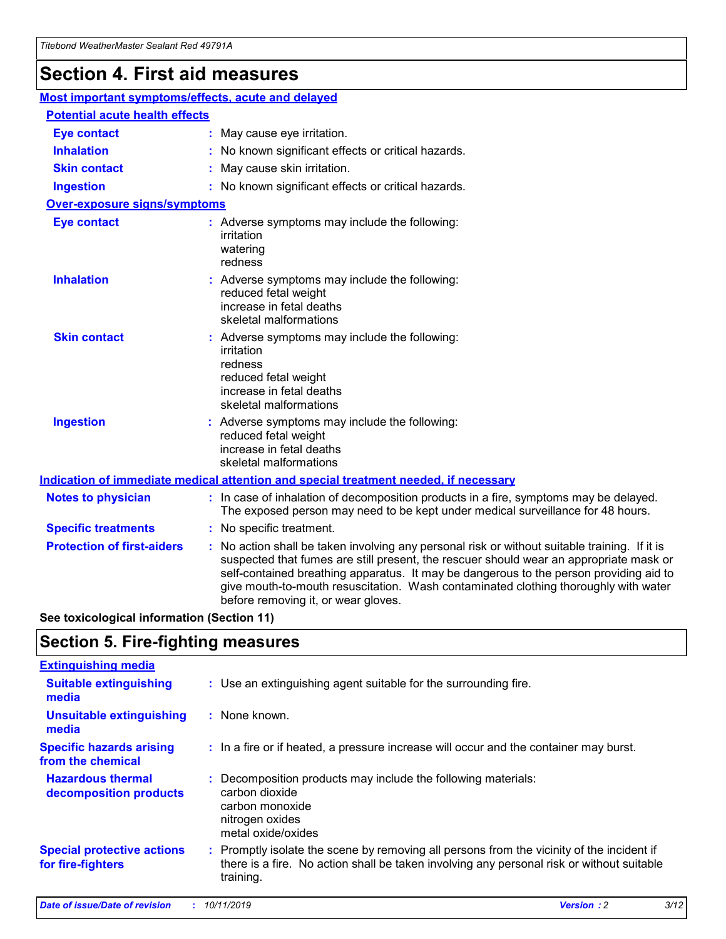## **Section 4. First aid measures**

| Most important symptoms/effects, acute and delayed |                                       |                                                                                                                                                                                                                                                                                                                                                                                                                 |  |  |  |
|----------------------------------------------------|---------------------------------------|-----------------------------------------------------------------------------------------------------------------------------------------------------------------------------------------------------------------------------------------------------------------------------------------------------------------------------------------------------------------------------------------------------------------|--|--|--|
|                                                    | <b>Potential acute health effects</b> |                                                                                                                                                                                                                                                                                                                                                                                                                 |  |  |  |
| <b>Eye contact</b>                                 |                                       | : May cause eye irritation.                                                                                                                                                                                                                                                                                                                                                                                     |  |  |  |
| <b>Inhalation</b>                                  |                                       | : No known significant effects or critical hazards.                                                                                                                                                                                                                                                                                                                                                             |  |  |  |
| <b>Skin contact</b>                                |                                       | : May cause skin irritation.                                                                                                                                                                                                                                                                                                                                                                                    |  |  |  |
| <b>Ingestion</b>                                   |                                       | : No known significant effects or critical hazards.                                                                                                                                                                                                                                                                                                                                                             |  |  |  |
| <b>Over-exposure signs/symptoms</b>                |                                       |                                                                                                                                                                                                                                                                                                                                                                                                                 |  |  |  |
| <b>Eye contact</b>                                 |                                       | : Adverse symptoms may include the following:<br>irritation<br>watering<br>redness                                                                                                                                                                                                                                                                                                                              |  |  |  |
| <b>Inhalation</b>                                  |                                       | : Adverse symptoms may include the following:<br>reduced fetal weight<br>increase in fetal deaths<br>skeletal malformations                                                                                                                                                                                                                                                                                     |  |  |  |
| <b>Skin contact</b>                                |                                       | : Adverse symptoms may include the following:<br>irritation<br>redness<br>reduced fetal weight<br>increase in fetal deaths<br>skeletal malformations                                                                                                                                                                                                                                                            |  |  |  |
| <b>Ingestion</b>                                   |                                       | : Adverse symptoms may include the following:<br>reduced fetal weight<br>increase in fetal deaths<br>skeletal malformations                                                                                                                                                                                                                                                                                     |  |  |  |
|                                                    |                                       | <b>Indication of immediate medical attention and special treatment needed, if necessary</b>                                                                                                                                                                                                                                                                                                                     |  |  |  |
| <b>Notes to physician</b>                          |                                       | : In case of inhalation of decomposition products in a fire, symptoms may be delayed.<br>The exposed person may need to be kept under medical surveillance for 48 hours.                                                                                                                                                                                                                                        |  |  |  |
| <b>Specific treatments</b>                         |                                       | : No specific treatment.                                                                                                                                                                                                                                                                                                                                                                                        |  |  |  |
| <b>Protection of first-aiders</b>                  |                                       | : No action shall be taken involving any personal risk or without suitable training. If it is<br>suspected that fumes are still present, the rescuer should wear an appropriate mask or<br>self-contained breathing apparatus. It may be dangerous to the person providing aid to<br>give mouth-to-mouth resuscitation. Wash contaminated clothing thoroughly with water<br>before removing it, or wear gloves. |  |  |  |

**See toxicological information (Section 11)**

### **Section 5. Fire-fighting measures**

| <b>Extinguishing media</b>                             |                                                                                                                                                                                                     |
|--------------------------------------------------------|-----------------------------------------------------------------------------------------------------------------------------------------------------------------------------------------------------|
| <b>Suitable extinguishing</b><br>media                 | : Use an extinguishing agent suitable for the surrounding fire.                                                                                                                                     |
| <b>Unsuitable extinguishing</b><br>media               | $:$ None known.                                                                                                                                                                                     |
| <b>Specific hazards arising</b><br>from the chemical   | : In a fire or if heated, a pressure increase will occur and the container may burst.                                                                                                               |
| <b>Hazardous thermal</b><br>decomposition products     | : Decomposition products may include the following materials:<br>carbon dioxide<br>carbon monoxide<br>nitrogen oxides<br>metal oxide/oxides                                                         |
| <b>Special protective actions</b><br>for fire-fighters | : Promptly isolate the scene by removing all persons from the vicinity of the incident if<br>there is a fire. No action shall be taken involving any personal risk or without suitable<br>training. |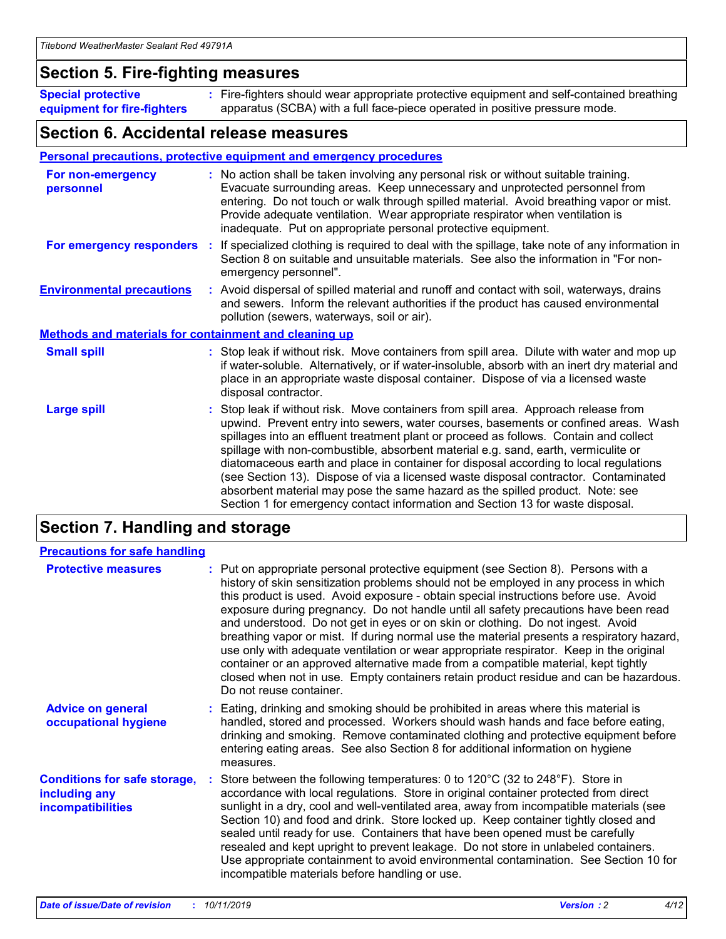### **Section 5. Fire-fighting measures**

**Special protective equipment for fire-fighters** Fire-fighters should wear appropriate protective equipment and self-contained breathing **:** apparatus (SCBA) with a full face-piece operated in positive pressure mode.

### **Section 6. Accidental release measures**

#### **Personal precautions, protective equipment and emergency procedures**

| For non-emergency<br>personnel                               | : No action shall be taken involving any personal risk or without suitable training.<br>Evacuate surrounding areas. Keep unnecessary and unprotected personnel from<br>entering. Do not touch or walk through spilled material. Avoid breathing vapor or mist.<br>Provide adequate ventilation. Wear appropriate respirator when ventilation is<br>inadequate. Put on appropriate personal protective equipment.                                                                                                                                                                                                                                                                                             |
|--------------------------------------------------------------|--------------------------------------------------------------------------------------------------------------------------------------------------------------------------------------------------------------------------------------------------------------------------------------------------------------------------------------------------------------------------------------------------------------------------------------------------------------------------------------------------------------------------------------------------------------------------------------------------------------------------------------------------------------------------------------------------------------|
|                                                              | For emergency responders : If specialized clothing is required to deal with the spillage, take note of any information in<br>Section 8 on suitable and unsuitable materials. See also the information in "For non-<br>emergency personnel".                                                                                                                                                                                                                                                                                                                                                                                                                                                                  |
| <b>Environmental precautions</b>                             | : Avoid dispersal of spilled material and runoff and contact with soil, waterways, drains<br>and sewers. Inform the relevant authorities if the product has caused environmental<br>pollution (sewers, waterways, soil or air).                                                                                                                                                                                                                                                                                                                                                                                                                                                                              |
| <b>Methods and materials for containment and cleaning up</b> |                                                                                                                                                                                                                                                                                                                                                                                                                                                                                                                                                                                                                                                                                                              |
| <b>Small spill</b>                                           | : Stop leak if without risk. Move containers from spill area. Dilute with water and mop up<br>if water-soluble. Alternatively, or if water-insoluble, absorb with an inert dry material and<br>place in an appropriate waste disposal container. Dispose of via a licensed waste<br>disposal contractor.                                                                                                                                                                                                                                                                                                                                                                                                     |
| <b>Large spill</b>                                           | : Stop leak if without risk. Move containers from spill area. Approach release from<br>upwind. Prevent entry into sewers, water courses, basements or confined areas. Wash<br>spillages into an effluent treatment plant or proceed as follows. Contain and collect<br>spillage with non-combustible, absorbent material e.g. sand, earth, vermiculite or<br>diatomaceous earth and place in container for disposal according to local regulations<br>(see Section 13). Dispose of via a licensed waste disposal contractor. Contaminated<br>absorbent material may pose the same hazard as the spilled product. Note: see<br>Section 1 for emergency contact information and Section 13 for waste disposal. |

### **Section 7. Handling and storage**

| <b>Precautions for safe handling</b>                                             |                                                                                                                                                                                                                                                                                                                                                                                                                                                                                                                                                                                                                                                                                                                                                                                                                                                  |
|----------------------------------------------------------------------------------|--------------------------------------------------------------------------------------------------------------------------------------------------------------------------------------------------------------------------------------------------------------------------------------------------------------------------------------------------------------------------------------------------------------------------------------------------------------------------------------------------------------------------------------------------------------------------------------------------------------------------------------------------------------------------------------------------------------------------------------------------------------------------------------------------------------------------------------------------|
| <b>Protective measures</b>                                                       | : Put on appropriate personal protective equipment (see Section 8). Persons with a<br>history of skin sensitization problems should not be employed in any process in which<br>this product is used. Avoid exposure - obtain special instructions before use. Avoid<br>exposure during pregnancy. Do not handle until all safety precautions have been read<br>and understood. Do not get in eyes or on skin or clothing. Do not ingest. Avoid<br>breathing vapor or mist. If during normal use the material presents a respiratory hazard,<br>use only with adequate ventilation or wear appropriate respirator. Keep in the original<br>container or an approved alternative made from a compatible material, kept tightly<br>closed when not in use. Empty containers retain product residue and can be hazardous.<br>Do not reuse container. |
| <b>Advice on general</b><br>occupational hygiene                                 | : Eating, drinking and smoking should be prohibited in areas where this material is<br>handled, stored and processed. Workers should wash hands and face before eating,<br>drinking and smoking. Remove contaminated clothing and protective equipment before<br>entering eating areas. See also Section 8 for additional information on hygiene<br>measures.                                                                                                                                                                                                                                                                                                                                                                                                                                                                                    |
| <b>Conditions for safe storage,</b><br>including any<br><b>incompatibilities</b> | Store between the following temperatures: 0 to 120 $\degree$ C (32 to 248 $\degree$ F). Store in<br>accordance with local regulations. Store in original container protected from direct<br>sunlight in a dry, cool and well-ventilated area, away from incompatible materials (see<br>Section 10) and food and drink. Store locked up. Keep container tightly closed and<br>sealed until ready for use. Containers that have been opened must be carefully<br>resealed and kept upright to prevent leakage. Do not store in unlabeled containers.<br>Use appropriate containment to avoid environmental contamination. See Section 10 for<br>incompatible materials before handling or use.                                                                                                                                                     |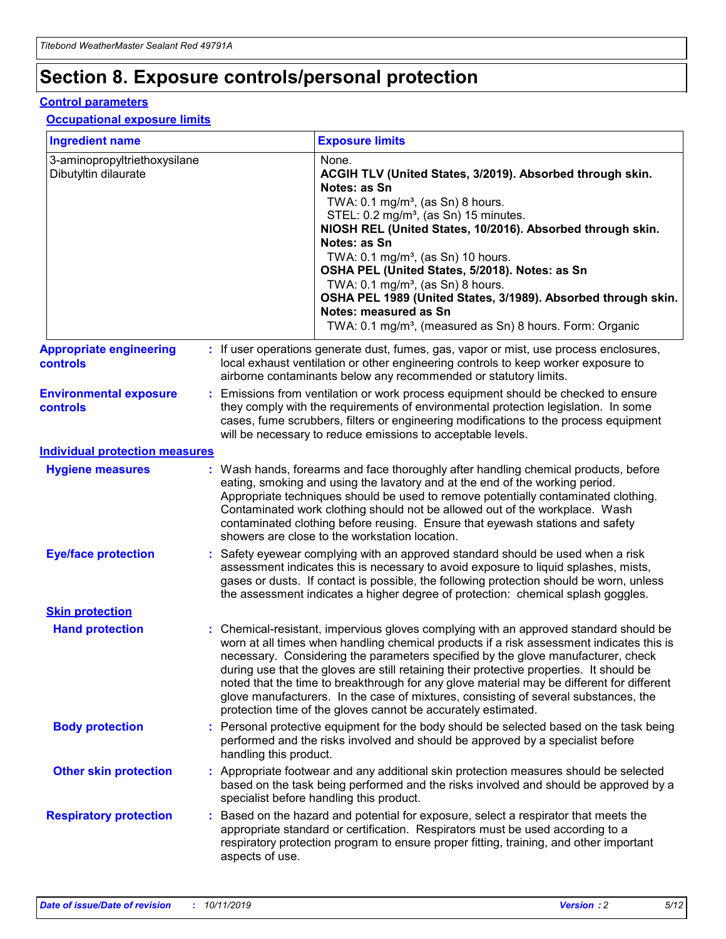## **Section 8. Exposure controls/personal protection**

#### **Control parameters**

#### **Occupational exposure limits**

| <b>Ingredient name</b>                               |    |                        | <b>Exposure limits</b>                                                                                                                                                                                                                                                                                                                                                                                                                                                                                                                                                                                                 |
|------------------------------------------------------|----|------------------------|------------------------------------------------------------------------------------------------------------------------------------------------------------------------------------------------------------------------------------------------------------------------------------------------------------------------------------------------------------------------------------------------------------------------------------------------------------------------------------------------------------------------------------------------------------------------------------------------------------------------|
| 3-aminopropyltriethoxysilane<br>Dibutyltin dilaurate |    |                        | None.<br>ACGIH TLV (United States, 3/2019). Absorbed through skin.<br>Notes: as Sn<br>TWA: $0.1 \text{ mg/m}^3$ , (as Sn) 8 hours.<br>STEL: 0.2 mg/m <sup>3</sup> , (as Sn) 15 minutes.<br>NIOSH REL (United States, 10/2016). Absorbed through skin.<br>Notes: as Sn<br>TWA: 0.1 mg/m <sup>3</sup> , (as Sn) 10 hours.<br>OSHA PEL (United States, 5/2018). Notes: as Sn<br>TWA: $0.1 \text{ mg/m}^3$ , (as Sn) 8 hours.<br>OSHA PEL 1989 (United States, 3/1989). Absorbed through skin.<br>Notes: measured as Sn<br>TWA: 0.1 mg/m <sup>3</sup> , (measured as Sn) 8 hours. Form: Organic                            |
| <b>Appropriate engineering</b><br>controls           |    |                        | : If user operations generate dust, fumes, gas, vapor or mist, use process enclosures,<br>local exhaust ventilation or other engineering controls to keep worker exposure to<br>airborne contaminants below any recommended or statutory limits.                                                                                                                                                                                                                                                                                                                                                                       |
| <b>Environmental exposure</b><br>controls            |    |                        | Emissions from ventilation or work process equipment should be checked to ensure<br>they comply with the requirements of environmental protection legislation. In some<br>cases, fume scrubbers, filters or engineering modifications to the process equipment<br>will be necessary to reduce emissions to acceptable levels.                                                                                                                                                                                                                                                                                          |
| <b>Individual protection measures</b>                |    |                        |                                                                                                                                                                                                                                                                                                                                                                                                                                                                                                                                                                                                                        |
| <b>Hygiene measures</b>                              |    |                        | : Wash hands, forearms and face thoroughly after handling chemical products, before<br>eating, smoking and using the lavatory and at the end of the working period.<br>Appropriate techniques should be used to remove potentially contaminated clothing.<br>Contaminated work clothing should not be allowed out of the workplace. Wash<br>contaminated clothing before reusing. Ensure that eyewash stations and safety<br>showers are close to the workstation location.                                                                                                                                            |
| <b>Eye/face protection</b>                           |    |                        | : Safety eyewear complying with an approved standard should be used when a risk<br>assessment indicates this is necessary to avoid exposure to liquid splashes, mists,<br>gases or dusts. If contact is possible, the following protection should be worn, unless<br>the assessment indicates a higher degree of protection: chemical splash goggles.                                                                                                                                                                                                                                                                  |
| <b>Skin protection</b>                               |    |                        |                                                                                                                                                                                                                                                                                                                                                                                                                                                                                                                                                                                                                        |
| <b>Hand protection</b>                               |    |                        | : Chemical-resistant, impervious gloves complying with an approved standard should be<br>worn at all times when handling chemical products if a risk assessment indicates this is<br>necessary. Considering the parameters specified by the glove manufacturer, check<br>during use that the gloves are still retaining their protective properties. It should be<br>noted that the time to breakthrough for any glove material may be different for different<br>glove manufacturers. In the case of mixtures, consisting of several substances, the<br>protection time of the gloves cannot be accurately estimated. |
| <b>Body protection</b>                               |    | handling this product. | Personal protective equipment for the body should be selected based on the task being<br>performed and the risks involved and should be approved by a specialist before                                                                                                                                                                                                                                                                                                                                                                                                                                                |
| <b>Other skin protection</b>                         |    |                        | : Appropriate footwear and any additional skin protection measures should be selected<br>based on the task being performed and the risks involved and should be approved by a<br>specialist before handling this product.                                                                                                                                                                                                                                                                                                                                                                                              |
| <b>Respiratory protection</b>                        | ÷. | aspects of use.        | Based on the hazard and potential for exposure, select a respirator that meets the<br>appropriate standard or certification. Respirators must be used according to a<br>respiratory protection program to ensure proper fitting, training, and other important                                                                                                                                                                                                                                                                                                                                                         |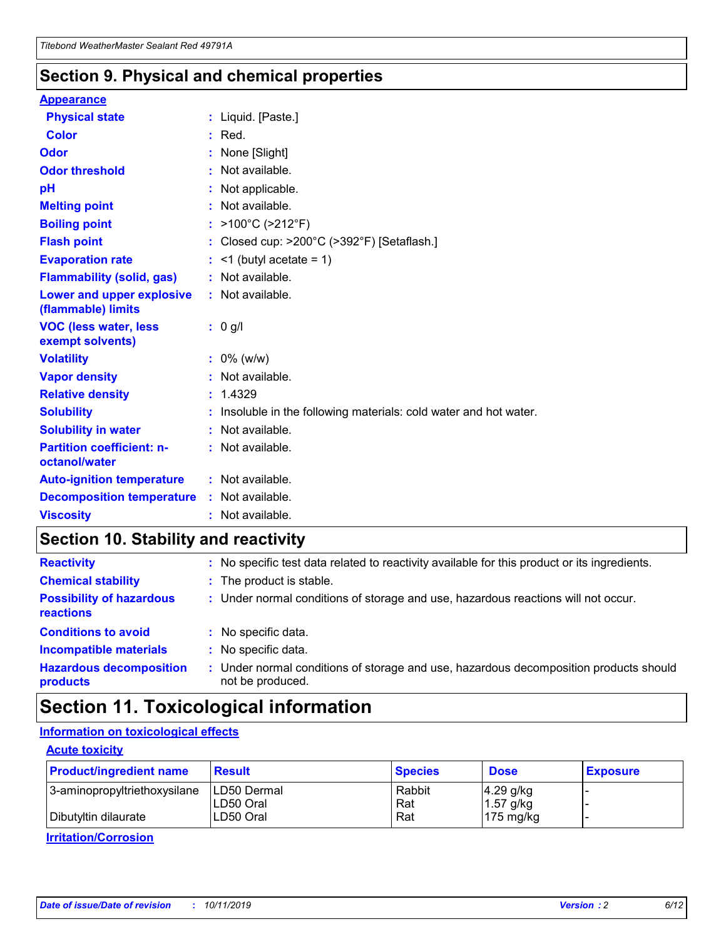### **Section 9. Physical and chemical properties**

#### **Appearance**

| <b>Physical state</b>                             | : Liquid. [Paste.]                                              |
|---------------------------------------------------|-----------------------------------------------------------------|
| Color                                             | $:$ Red.                                                        |
| Odor                                              | : None [Slight]                                                 |
| <b>Odor threshold</b>                             | : Not available.                                                |
| рH                                                | : Not applicable.                                               |
| <b>Melting point</b>                              | : Not available.                                                |
| <b>Boiling point</b>                              | : >100°C (>212°F)                                               |
| <b>Flash point</b>                                | : Closed cup: $>200^{\circ}$ C ( $>392^{\circ}$ F) [Setaflash.] |
| <b>Evaporation rate</b>                           | $:$ <1 (butyl acetate = 1)                                      |
| <b>Flammability (solid, gas)</b>                  | : Not available.                                                |
| Lower and upper explosive<br>(flammable) limits   | : Not available.                                                |
| <b>VOC (less water, less</b><br>exempt solvents)  | : 0 g/l                                                         |
| <b>Volatility</b>                                 | $: 0\%$ (w/w)                                                   |
| <b>Vapor density</b>                              | : Not available.                                                |
| <b>Relative density</b>                           | : 1.4329                                                        |
| <b>Solubility</b>                                 | Insoluble in the following materials: cold water and hot water. |
| <b>Solubility in water</b>                        | : Not available.                                                |
| <b>Partition coefficient: n-</b><br>octanol/water | $:$ Not available.                                              |
| <b>Auto-ignition temperature</b>                  | : Not available.                                                |
| <b>Decomposition temperature</b>                  | : Not available.                                                |
|                                                   |                                                                 |

### **Section 10. Stability and reactivity**

| <b>Reactivity</b>                            |    | : No specific test data related to reactivity available for this product or its ingredients.            |
|----------------------------------------------|----|---------------------------------------------------------------------------------------------------------|
| <b>Chemical stability</b>                    |    | : The product is stable.                                                                                |
| <b>Possibility of hazardous</b><br>reactions |    | : Under normal conditions of storage and use, hazardous reactions will not occur.                       |
| <b>Conditions to avoid</b>                   |    | : No specific data.                                                                                     |
| <b>Incompatible materials</b>                | ٠. | No specific data.                                                                                       |
| <b>Hazardous decomposition</b><br>products   | ÷. | Under normal conditions of storage and use, hazardous decomposition products should<br>not be produced. |

### **Section 11. Toxicological information**

### **Information on toxicological effects**

#### **Acute toxicity**

| <b>Product/ingredient name</b> | <b>Result</b>           | <b>Species</b> | <b>Dose</b>                | <b>Exposure</b> |
|--------------------------------|-------------------------|----------------|----------------------------|-----------------|
| 3-aminopropyltriethoxysilane   | <b>ILD50 Dermal</b>     | Rabbit         | 4.29 g/kg                  |                 |
| Dibutyltin dilaurate           | ILD50 Oral<br>LD50 Oral | Rat<br>Rat     | $1.57$ g/kg<br>175 $mg/kg$ |                 |
|                                |                         |                |                            |                 |

**Irritation/Corrosion**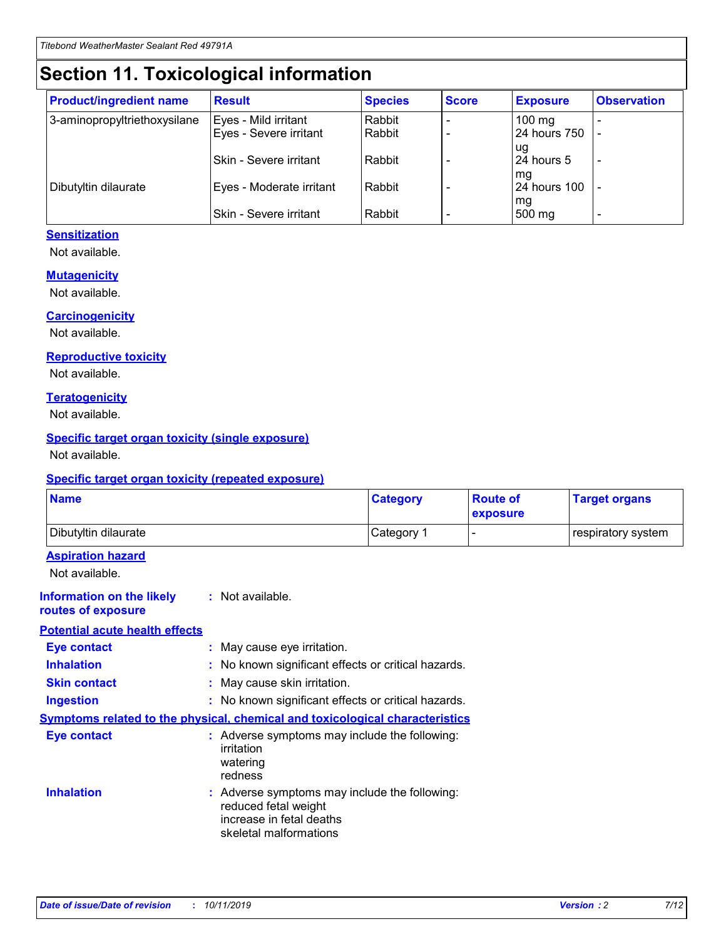## **Section 11. Toxicological information**

| <b>Product/ingredient name</b> | <b>Result</b>                 | <b>Species</b> | <b>Score</b> | <b>Exposure</b>           | <b>Observation</b> |
|--------------------------------|-------------------------------|----------------|--------------|---------------------------|--------------------|
| 3-aminopropyltriethoxysilane   | Eyes - Mild irritant          | Rabbit         |              | $100$ mg                  |                    |
|                                | Eyes - Severe irritant        | Rabbit         |              | 24 hours 750              |                    |
|                                |                               |                |              | ug                        |                    |
|                                | <b>Skin - Severe irritant</b> | Rabbit         |              | 24 hours 5                | ۰                  |
| Dibutyltin dilaurate           | Eyes - Moderate irritant      | Rabbit         |              | mq<br><b>24 hours 100</b> |                    |
|                                |                               |                |              | mg                        |                    |
|                                | Skin - Severe irritant        | Rabbit         |              | 500 mg                    |                    |

#### **Sensitization**

Not available.

#### **Mutagenicity**

Not available.

#### **Carcinogenicity**

Not available.

#### **Reproductive toxicity**

Not available.

#### **Teratogenicity**

Not available.

#### **Specific target organ toxicity (single exposure)**

Not available.

#### **Specific target organ toxicity (repeated exposure)**

| <b>Name</b>                                                                         |                                                                            | <b>Category</b>                                     | <b>Route of</b><br>exposure | <b>Target organs</b> |
|-------------------------------------------------------------------------------------|----------------------------------------------------------------------------|-----------------------------------------------------|-----------------------------|----------------------|
| Dibutyltin dilaurate                                                                |                                                                            | Category 1                                          |                             | respiratory system   |
| <b>Aspiration hazard</b><br>Not available.                                          |                                                                            |                                                     |                             |                      |
| <b>Information on the likely</b><br>routes of exposure                              | : Not available.                                                           |                                                     |                             |                      |
| <b>Potential acute health effects</b>                                               |                                                                            |                                                     |                             |                      |
| <b>Eye contact</b>                                                                  | : May cause eye irritation.                                                |                                                     |                             |                      |
| <b>Inhalation</b>                                                                   |                                                                            | : No known significant effects or critical hazards. |                             |                      |
| <b>Skin contact</b>                                                                 | : May cause skin irritation.                                               |                                                     |                             |                      |
| <b>Ingestion</b>                                                                    |                                                                            | : No known significant effects or critical hazards. |                             |                      |
| <b>Symptoms related to the physical, chemical and toxicological characteristics</b> |                                                                            |                                                     |                             |                      |
| <b>Eye contact</b>                                                                  | irritation<br>watering<br>redness                                          | : Adverse symptoms may include the following:       |                             |                      |
| <b>Inhalation</b>                                                                   | reduced fetal weight<br>increase in fetal deaths<br>skeletal malformations | : Adverse symptoms may include the following:       |                             |                      |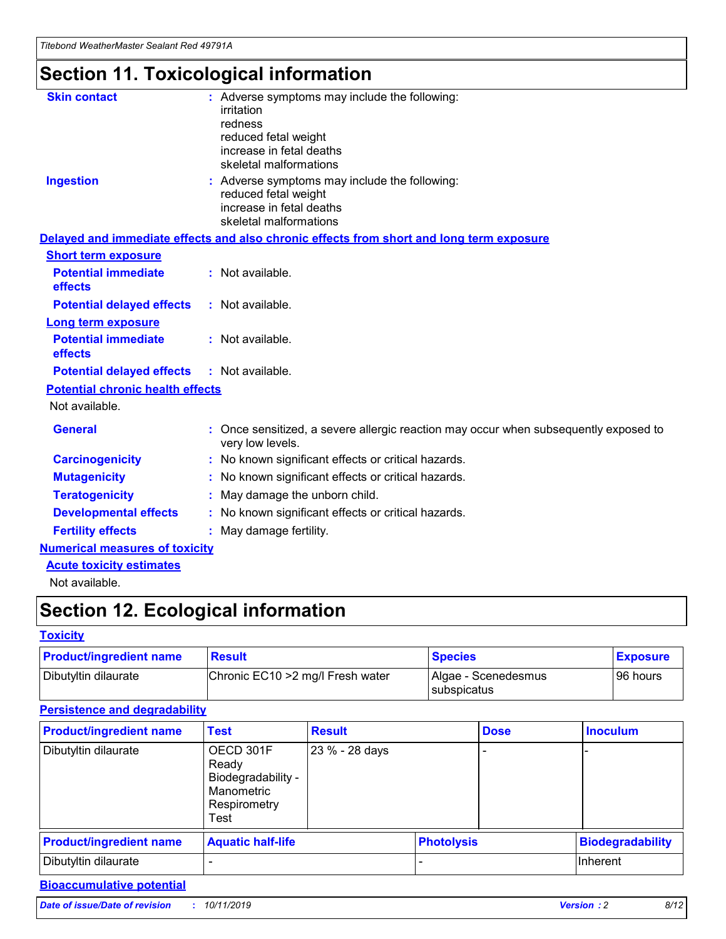## **Section 11. Toxicological information**

| <b>Skin contact</b>                     | : Adverse symptoms may include the following:<br>irritation<br>redness<br>reduced fetal weight<br>increase in fetal deaths<br>skeletal malformations |
|-----------------------------------------|------------------------------------------------------------------------------------------------------------------------------------------------------|
| <b>Ingestion</b>                        | : Adverse symptoms may include the following:<br>reduced fetal weight<br>increase in fetal deaths<br>skeletal malformations                          |
|                                         | Delayed and immediate effects and also chronic effects from short and long term exposure                                                             |
| <b>Short term exposure</b>              |                                                                                                                                                      |
| <b>Potential immediate</b><br>effects   | : Not available.                                                                                                                                     |
| <b>Potential delayed effects</b>        | : Not available.                                                                                                                                     |
| <b>Long term exposure</b>               |                                                                                                                                                      |
| <b>Potential immediate</b><br>effects   | : Not available.                                                                                                                                     |
| <b>Potential delayed effects</b>        | : Not available.                                                                                                                                     |
| <b>Potential chronic health effects</b> |                                                                                                                                                      |
| Not available.                          |                                                                                                                                                      |
| <b>General</b>                          | : Once sensitized, a severe allergic reaction may occur when subsequently exposed to<br>very low levels.                                             |
| <b>Carcinogenicity</b>                  | : No known significant effects or critical hazards.                                                                                                  |
| <b>Mutagenicity</b>                     | No known significant effects or critical hazards.                                                                                                    |
| <b>Teratogenicity</b>                   | May damage the unborn child.                                                                                                                         |
| <b>Developmental effects</b>            | No known significant effects or critical hazards.                                                                                                    |
| <b>Fertility effects</b>                | : May damage fertility.                                                                                                                              |
| <b>Numerical measures of toxicity</b>   |                                                                                                                                                      |
| <b>Acute toxicity estimates</b>         |                                                                                                                                                      |
|                                         |                                                                                                                                                      |

Not available.

## **Section 12. Ecological information**

#### **Toxicity**

| <b>Product/ingredient name</b> | <b>Result</b>                     | <b>Species</b>                       | <b>Exposure</b> |
|--------------------------------|-----------------------------------|--------------------------------------|-----------------|
| Dibutyltin dilaurate           | Chronic EC10 > 2 mg/l Fresh water | Algae - Scenedesmus<br>I subspicatus | l 96 hours      |

### **Persistence and degradability**

| <b>Product/ingredient name</b> | <b>Test</b>                                                                    | <b>Result</b>  |  | <b>Dose</b>       | <b>Inoculum</b>         |
|--------------------------------|--------------------------------------------------------------------------------|----------------|--|-------------------|-------------------------|
| Dibutyltin dilaurate           | OECD 301F<br>Ready<br>Biodegradability -<br>Manometric<br>Respirometry<br>Test | 23 % - 28 days |  |                   |                         |
| <b>Product/ingredient name</b> | <b>Aquatic half-life</b>                                                       |                |  | <b>Photolysis</b> | <b>Biodegradability</b> |
| Dibutyltin dilaurate           |                                                                                |                |  |                   | Inherent                |

### **Bioaccumulative potential**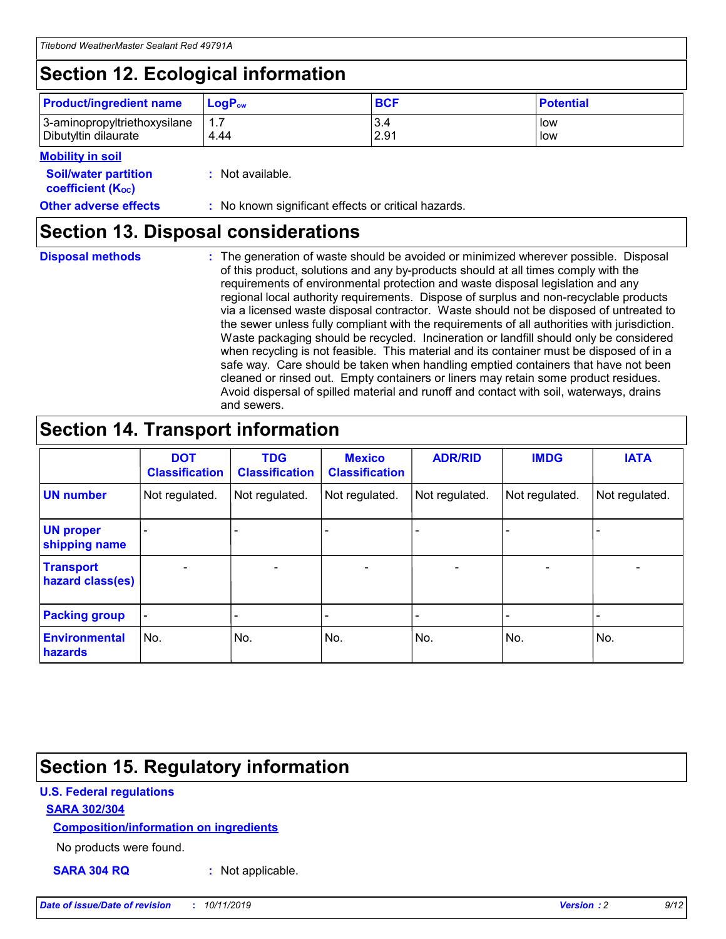## **Section 12. Ecological information**

| <b>Product/ingredient name</b> | $LoaPow$ | <b>BCF</b> | <b>Potential</b> |
|--------------------------------|----------|------------|------------------|
| 3-aminopropyltriethoxysilane   | 1.7      | 3.4        | low              |
| Dibutyltin dilaurate           | 4.44     | 2.91       | low              |

#### **Mobility in soil**

| <b>Soil/water partition</b><br>coefficient (K <sub>oc</sub> ) | : Not available.                                    |
|---------------------------------------------------------------|-----------------------------------------------------|
| <b>Other adverse effects</b>                                  | : No known significant effects or critical hazards. |

### **Section 13. Disposal considerations**

| <b>Disposal methods</b> |
|-------------------------|
|                         |

**Disposal methods** : The generation of waste should be avoided or minimized wherever possible. Disposal of this product, solutions and any by-products should at all times comply with the requirements of environmental protection and waste disposal legislation and any regional local authority requirements. Dispose of surplus and non-recyclable products via a licensed waste disposal contractor. Waste should not be disposed of untreated to the sewer unless fully compliant with the requirements of all authorities with jurisdiction. Waste packaging should be recycled. Incineration or landfill should only be considered when recycling is not feasible. This material and its container must be disposed of in a safe way. Care should be taken when handling emptied containers that have not been cleaned or rinsed out. Empty containers or liners may retain some product residues. Avoid dispersal of spilled material and runoff and contact with soil, waterways, drains and sewers.

## **Section 14. Transport information**

|                                      | <b>DOT</b><br><b>Classification</b> | <b>TDG</b><br><b>Classification</b> | <b>Mexico</b><br><b>Classification</b> | <b>ADR/RID</b>           | <b>IMDG</b>              | <b>IATA</b>              |
|--------------------------------------|-------------------------------------|-------------------------------------|----------------------------------------|--------------------------|--------------------------|--------------------------|
| <b>UN number</b>                     | Not regulated.                      | Not regulated.                      | Not regulated.                         | Not regulated.           | Not regulated.           | Not regulated.           |
| <b>UN proper</b><br>shipping name    | $\qquad \qquad \blacksquare$        |                                     |                                        |                          |                          |                          |
| <b>Transport</b><br>hazard class(es) | $\blacksquare$                      | $\blacksquare$                      | $\blacksquare$                         | $\overline{\phantom{a}}$ | $\blacksquare$           | $\blacksquare$           |
| <b>Packing group</b>                 | $\overline{\phantom{a}}$            | $\overline{\phantom{0}}$            | $\overline{\phantom{0}}$               | -                        | $\overline{\phantom{0}}$ | $\overline{\phantom{a}}$ |
| <b>Environmental</b><br>hazards      | No.                                 | No.                                 | No.                                    | No.                      | No.                      | No.                      |

## **Section 15. Regulatory information**

#### **U.S. Federal regulations**

#### **SARA 302/304**

#### **Composition/information on ingredients**

No products were found.

**SARA 304 RQ :** Not applicable.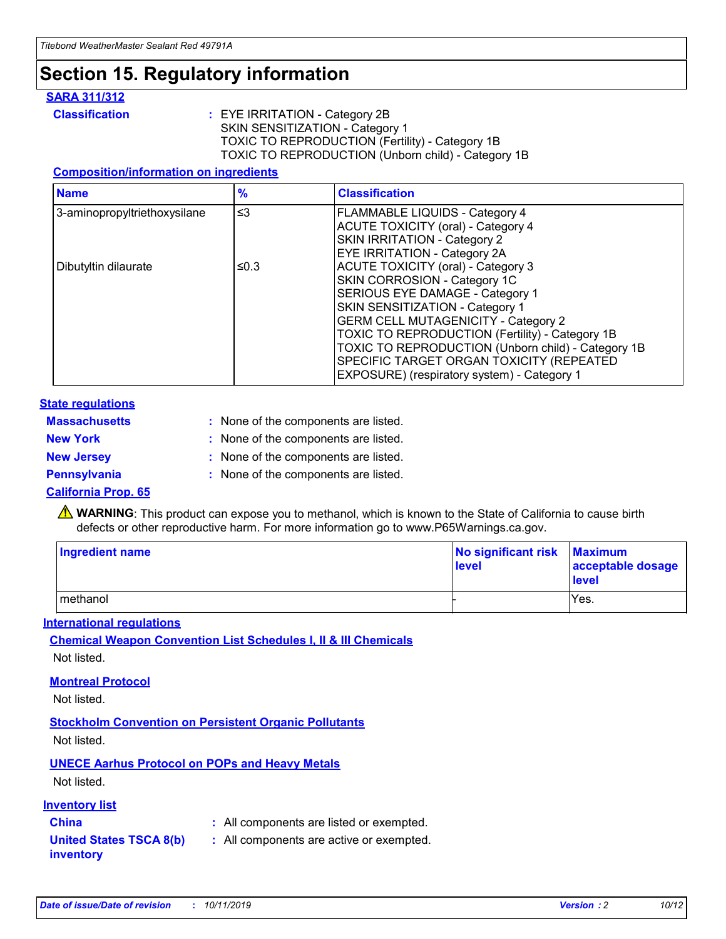## **Section 15. Regulatory information**

#### **SARA 311/312**

**Classification :** EYE IRRITATION - Category 2B SKIN SENSITIZATION - Category 1 TOXIC TO REPRODUCTION (Fertility) - Category 1B TOXIC TO REPRODUCTION (Unborn child) - Category 1B

#### **Composition/information on ingredients**

| <b>Name</b>                  | $\frac{9}{6}$ | <b>Classification</b>                                                                                            |
|------------------------------|---------------|------------------------------------------------------------------------------------------------------------------|
| 3-aminopropyltriethoxysilane | $\leq$ 3      | <b>FLAMMABLE LIQUIDS - Category 4</b><br><b>ACUTE TOXICITY (oral) - Category 4</b>                               |
|                              |               | SKIN IRRITATION - Category 2<br>EYE IRRITATION - Category 2A                                                     |
| Dibutyltin dilaurate         | ≤0.3          | ACUTE TOXICITY (oral) - Category 3<br>SKIN CORROSION - Category 1C                                               |
|                              |               | SERIOUS EYE DAMAGE - Category 1<br>SKIN SENSITIZATION - Category 1<br><b>GERM CELL MUTAGENICITY - Category 2</b> |
|                              |               | TOXIC TO REPRODUCTION (Fertility) - Category 1B<br>TOXIC TO REPRODUCTION (Unborn child) - Category 1B            |
|                              |               | SPECIFIC TARGET ORGAN TOXICITY (REPEATED<br>EXPOSURE) (respiratory system) - Category 1                          |

#### **State regulations**

| <b>Massachusetts</b> | : None of the components are listed. |
|----------------------|--------------------------------------|
| <b>New York</b>      | : None of the components are listed. |
| <b>New Jersey</b>    | : None of the components are listed. |
| <b>Pennsylvania</b>  | : None of the components are listed. |

#### **California Prop. 65**

**A** WARNING: This product can expose you to methanol, which is known to the State of California to cause birth defects or other reproductive harm. For more information go to www.P65Warnings.ca.gov.

| <b>Ingredient name</b> | No significant risk<br>level | <b>Maximum</b><br>acceptable dosage<br>level |
|------------------------|------------------------------|----------------------------------------------|
| I methanol             |                              | Yes.                                         |

#### **International regulations**

**Chemical Weapon Convention List Schedules I, II & III Chemicals** Not listed.

#### **Montreal Protocol**

Not listed.

**Stockholm Convention on Persistent Organic Pollutants**

Not listed.

### **UNECE Aarhus Protocol on POPs and Heavy Metals**

Not listed.

#### **Inventory list**

### **China :** All components are listed or exempted.

**United States TSCA 8(b) inventory :** All components are active or exempted.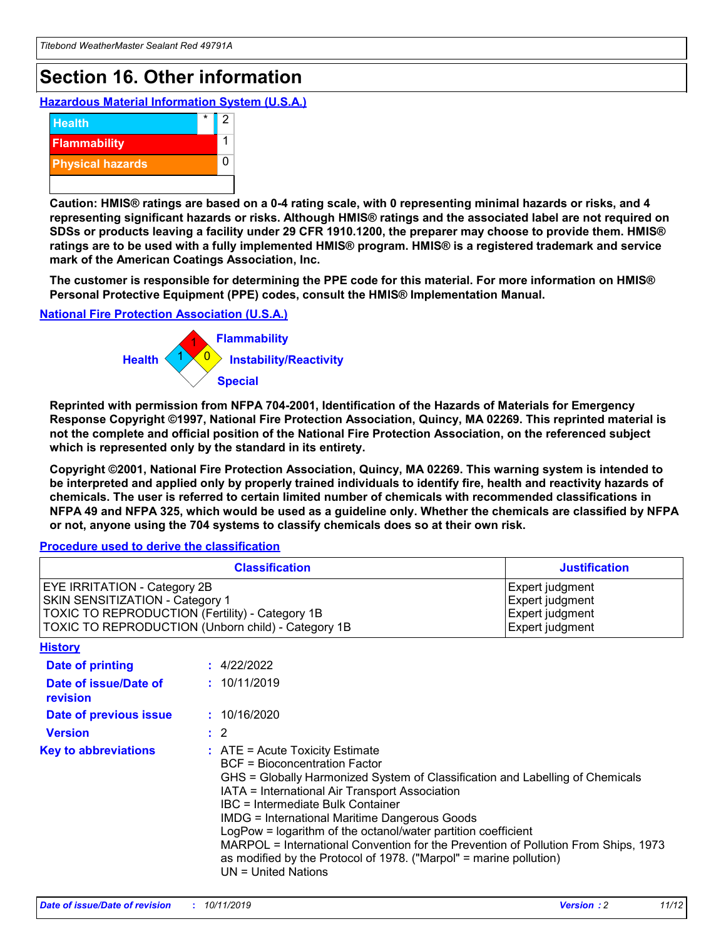## **Section 16. Other information**

**Hazardous Material Information System (U.S.A.)**



**Caution: HMIS® ratings are based on a 0-4 rating scale, with 0 representing minimal hazards or risks, and 4 representing significant hazards or risks. Although HMIS® ratings and the associated label are not required on SDSs or products leaving a facility under 29 CFR 1910.1200, the preparer may choose to provide them. HMIS® ratings are to be used with a fully implemented HMIS® program. HMIS® is a registered trademark and service mark of the American Coatings Association, Inc.**

**The customer is responsible for determining the PPE code for this material. For more information on HMIS® Personal Protective Equipment (PPE) codes, consult the HMIS® Implementation Manual.**

#### **National Fire Protection Association (U.S.A.)**



**Reprinted with permission from NFPA 704-2001, Identification of the Hazards of Materials for Emergency Response Copyright ©1997, National Fire Protection Association, Quincy, MA 02269. This reprinted material is not the complete and official position of the National Fire Protection Association, on the referenced subject which is represented only by the standard in its entirety.**

**Copyright ©2001, National Fire Protection Association, Quincy, MA 02269. This warning system is intended to be interpreted and applied only by properly trained individuals to identify fire, health and reactivity hazards of chemicals. The user is referred to certain limited number of chemicals with recommended classifications in NFPA 49 and NFPA 325, which would be used as a guideline only. Whether the chemicals are classified by NFPA or not, anyone using the 704 systems to classify chemicals does so at their own risk.**

#### **Procedure used to derive the classification**

|                                                                                                                                  | <b>Classification</b>                                                                                                                                                                                                                                                                                                                                                                                                                                                                                                                                                           | <b>Justification</b>                                                     |
|----------------------------------------------------------------------------------------------------------------------------------|---------------------------------------------------------------------------------------------------------------------------------------------------------------------------------------------------------------------------------------------------------------------------------------------------------------------------------------------------------------------------------------------------------------------------------------------------------------------------------------------------------------------------------------------------------------------------------|--------------------------------------------------------------------------|
| <b>EYE IRRITATION - Category 2B</b><br>SKIN SENSITIZATION - Category 1<br><b>TOXIC TO REPRODUCTION (Fertility) - Category 1B</b> | TOXIC TO REPRODUCTION (Unborn child) - Category 1B                                                                                                                                                                                                                                                                                                                                                                                                                                                                                                                              | Expert judgment<br>Expert judgment<br>Expert judgment<br>Expert judgment |
| <b>History</b>                                                                                                                   |                                                                                                                                                                                                                                                                                                                                                                                                                                                                                                                                                                                 |                                                                          |
| <b>Date of printing</b>                                                                                                          | : 4/22/2022                                                                                                                                                                                                                                                                                                                                                                                                                                                                                                                                                                     |                                                                          |
| Date of issue/Date of<br>revision                                                                                                | : 10/11/2019                                                                                                                                                                                                                                                                                                                                                                                                                                                                                                                                                                    |                                                                          |
| Date of previous issue                                                                                                           | : 10/16/2020                                                                                                                                                                                                                                                                                                                                                                                                                                                                                                                                                                    |                                                                          |
| <b>Version</b>                                                                                                                   | $\therefore$ 2                                                                                                                                                                                                                                                                                                                                                                                                                                                                                                                                                                  |                                                                          |
| <b>Key to abbreviations</b>                                                                                                      | $\therefore$ ATE = Acute Toxicity Estimate<br><b>BCF</b> = Bioconcentration Factor<br>GHS = Globally Harmonized System of Classification and Labelling of Chemicals<br>IATA = International Air Transport Association<br><b>IBC</b> = Intermediate Bulk Container<br><b>IMDG = International Maritime Dangerous Goods</b><br>LogPow = logarithm of the octanol/water partition coefficient<br>MARPOL = International Convention for the Prevention of Pollution From Ships, 1973<br>as modified by the Protocol of 1978. ("Marpol" = marine pollution)<br>$UN = United Nations$ |                                                                          |